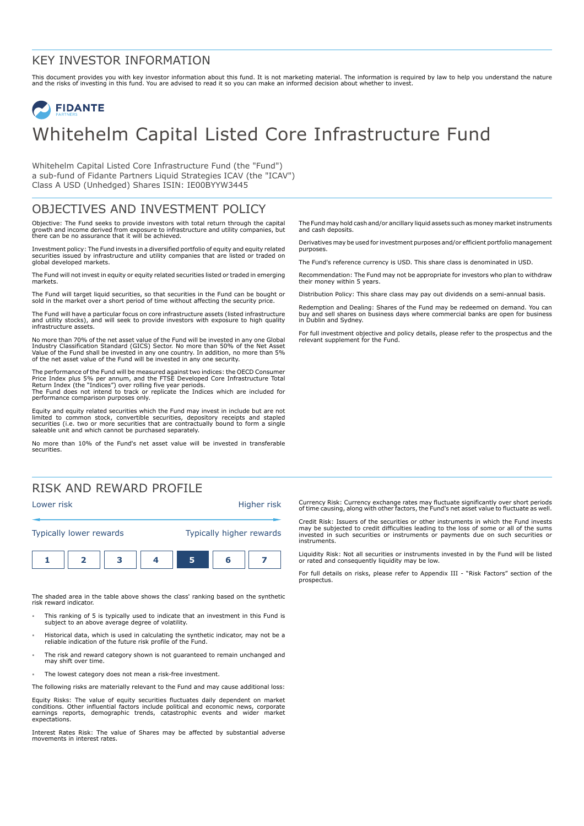### KEY INVESTOR INFORMATION

This document provides you with key investor information about this fund. It is not marketing material. The information is required by law to help you understand the nature<br>and the risks of investing in this fund. You are

# **FIDANTE** Whitehelm Capital Listed Core Infrastructure Fund

Whitehelm Capital Listed Core Infrastructure Fund (the "Fund") a sub-fund of Fidante Partners Liquid Strategies ICAV (the "ICAV") Class A USD (Unhedged) Shares ISIN: IE00BYYW3445

## OBJECTIVES AND INVESTMENT POLICY

Objective: The Fund seeks to provide investors with total return through the capital growth and income derived from exposure to infrastructure and utility companies, but there can be no assurance that it will be achieved.

Investment policy: The Fund invests in a diversified portfolio of equity and equity related securities issued by infrastructure and utility companies that are listed or traded on global developed markets.

The Fund will not invest in equity or equity related securities listed or traded in emerging markets.

The Fund will target liquid securities, so that securities in the Fund can be bought or sold in the market over a short period of time without affecting the security price.

The Fund will have a particular focus on core infrastructure assets (listed infrastructure and utility stocks), and will seek to provide investors with exposure to high quality infrastructure assets.

No more than 70% of the net asset value of the Fund will be invested in any one Global Industry Classification Standard (GICS) Sector. No more than 50% of the Net Asset<br>Value of the Fund shall be invested in any one country. In addition, no more than 5%<br>of the net asset value of the Fund will be invested in

The performance of the Fund will be measured against two indices: the OECD Consumer Price Index plus 5% per annum, and the FTSE Developed Core Infrastructure Total<br>Return Index (the "Indices") over rolling five year periods.<br>The Fund does not intend to track or replicate the Indices which are included for performance comparison purposes only.

Equity and equity related securities which the Fund may invest in include but are not limited to common stock, convertible securities, depository receipts and stapled securities (i.e. two or more securities that are contractually bound to form a single saleable unit and which cannot be purchased separately.

No more than 10% of the Fund's net asset value will be invested in transferable securities.

## RISK AND REWARD PROFILE



The shaded area in the table above shows the class' ranking based on the synthetic risk reward indicator.

- 1 This ranking of 5 is typically used to indicate that an investment in this Fund is subject to an above average degree of volatility.
- 1 Historical data, which is used in calculating the synthetic indicator, may not be a reliable indication of the future risk profile of the Fund.
- The risk and reward category shown is not guaranteed to remain unchanged and may shift over time.
- The lowest category does not mean a risk-free investment.

The following risks are materially relevant to the Fund and may cause additional loss:

Equity Risks: The value of equity securities fluctuates daily dependent on market conditions. Other influential factors include political and economic news, corporate earnings reports, demographic trends, catastrophic events and wider market expectations.

Interest Rates Risk: The value of Shares may be affected by substantial adverse movements in interest rates.

The Fund may hold cash and/or ancillary liquid assets such as money market instruments and cash deposits.

Derivatives may be used for investment purposes and/or efficient portfolio management purposes.

The Fund's reference currency is USD. This share class is denominated in USD.

Recommendation: The Fund may not be appropriate for investors who plan to withdraw their money within 5 years.

Distribution Policy: This share class may pay out dividends on a semi-annual basis.

Redemption and Dealing: Shares of the Fund may be redeemed on demand. You can buy and sell shares on business days where commercial banks are open for business in Dublin and Sydney.

For full investment objective and policy details, please refer to the prospectus and the relevant supplement for the Fund.

Currency Risk: Currency exchange rates may fluctuate significantly over short periods of time causing, along with other factors, the Fund's net asset value to fluctuate as well.

Credit Risk: Issuers of the securities or other instruments in which the Fund invests may be subjected to credit difficulties leading to the loss of some or all of the sums invested in such securities or instruments or payments due on such securities or instruments.

Liquidity Risk: Not all securities or instruments invested in by the Fund will be listed or rated and consequently liquidity may be low.

For full details on risks, please refer to Appendix III - "Risk Factors" section of the prospectus.